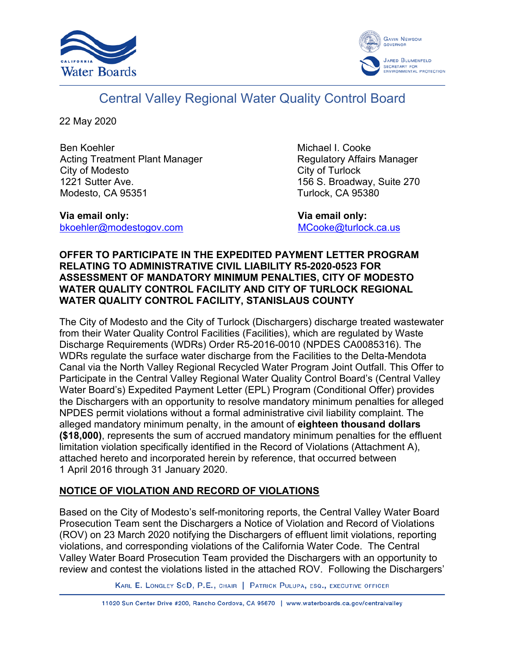



# Central Valley Regional Water Quality Control Board

22 May 2020

Ben Koehler Acting Treatment Plant Manager City of Modesto 1221 Sutter Ave. Modesto, CA 95351

**Via email only:** [bkoehler@modestogov.com](mailto:bkoehler@modestogov.com) Michael I. Cooke Regulatory Affairs Manager City of Turlock 156 S. Broadway, Suite 270 Turlock, CA 95380

 **Via email only:** [MCooke@turlock.ca.us](mailto:MCooke@turlock.ca.us)

### **OFFER TO PARTICIPATE IN THE EXPEDITED PAYMENT LETTER PROGRAM RELATING TO ADMINISTRATIVE CIVIL LIABILITY R5-2020-0523 FOR ASSESSMENT OF MANDATORY MINIMUM PENALTIES, CITY OF MODESTO WATER QUALITY CONTROL FACILITY AND CITY OF TURLOCK REGIONAL WATER QUALITY CONTROL FACILITY, STANISLAUS COUNTY**

The City of Modesto and the City of Turlock (Dischargers) discharge treated wastewater from their Water Quality Control Facilities (Facilities), which are regulated by Waste Discharge Requirements (WDRs) Order R5-2016-0010 (NPDES CA0085316). The WDRs regulate the surface water discharge from the Facilities to the Delta-Mendota Canal via the North Valley Regional Recycled Water Program Joint Outfall. This Offer to Participate in the Central Valley Regional Water Quality Control Board's (Central Valley Water Board's) Expedited Payment Letter (EPL) Program (Conditional Offer) provides the Dischargers with an opportunity to resolve mandatory minimum penalties for alleged NPDES permit violations without a formal administrative civil liability complaint. The alleged mandatory minimum penalty, in the amount of **eighteen thousand dollars (\$18,000)**, represents the sum of accrued mandatory minimum penalties for the effluent limitation violation specifically identified in the Record of Violations (Attachment A), attached hereto and incorporated herein by reference, that occurred between 1 April 2016 through 31 January 2020.

## **NOTICE OF VIOLATION AND RECORD OF VIOLATIONS**

Based on the City of Modesto's self-monitoring reports, the Central Valley Water Board Prosecution Team sent the Dischargers a Notice of Violation and Record of Violations (ROV) on 23 March 2020 notifying the Dischargers of effluent limit violations, reporting violations, and corresponding violations of the California Water Code. The Central Valley Water Board Prosecution Team provided the Dischargers with an opportunity to review and contest the violations listed in the attached ROV. Following the Dischargers'

KARL E. LONGLEY SCD, P.E., CHAIR | PATRICK PULUPA, ESQ., EXECUTIVE OFFICER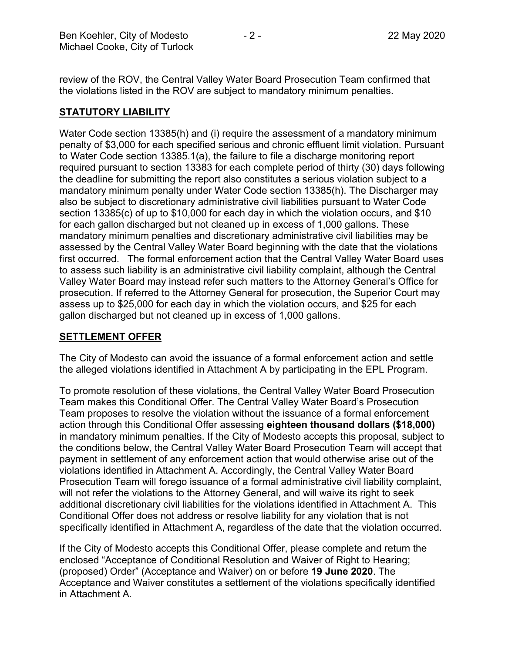review of the ROV, the Central Valley Water Board Prosecution Team confirmed that the violations listed in the ROV are subject to mandatory minimum penalties.

## **STATUTORY LIABILITY**

Water Code section 13385(h) and (i) require the assessment of a mandatory minimum penalty of \$3,000 for each specified serious and chronic effluent limit violation. Pursuant to Water Code section 13385.1(a), the failure to file a discharge monitoring report required pursuant to section 13383 for each complete period of thirty (30) days following the deadline for submitting the report also constitutes a serious violation subject to a mandatory minimum penalty under Water Code section 13385(h). The Discharger may also be subject to discretionary administrative civil liabilities pursuant to Water Code section 13385(c) of up to \$10,000 for each day in which the violation occurs, and \$10 for each gallon discharged but not cleaned up in excess of 1,000 gallons. These mandatory minimum penalties and discretionary administrative civil liabilities may be assessed by the Central Valley Water Board beginning with the date that the violations first occurred. The formal enforcement action that the Central Valley Water Board uses to assess such liability is an administrative civil liability complaint, although the Central Valley Water Board may instead refer such matters to the Attorney General's Office for prosecution. If referred to the Attorney General for prosecution, the Superior Court may assess up to \$25,000 for each day in which the violation occurs, and \$25 for each gallon discharged but not cleaned up in excess of 1,000 gallons.

#### **SETTLEMENT OFFER**

The City of Modesto can avoid the issuance of a formal enforcement action and settle the alleged violations identified in Attachment A by participating in the EPL Program.

To promote resolution of these violations, the Central Valley Water Board Prosecution Team makes this Conditional Offer. The Central Valley Water Board's Prosecution Team proposes to resolve the violation without the issuance of a formal enforcement action through this Conditional Offer assessing **eighteen thousand dollars (\$18,000)** in mandatory minimum penalties. If the City of Modesto accepts this proposal, subject to the conditions below, the Central Valley Water Board Prosecution Team will accept that payment in settlement of any enforcement action that would otherwise arise out of the violations identified in Attachment A. Accordingly, the Central Valley Water Board Prosecution Team will forego issuance of a formal administrative civil liability complaint, will not refer the violations to the Attorney General, and will waive its right to seek additional discretionary civil liabilities for the violations identified in Attachment A. This Conditional Offer does not address or resolve liability for any violation that is not specifically identified in Attachment A, regardless of the date that the violation occurred.

If the City of Modesto accepts this Conditional Offer, please complete and return the enclosed "Acceptance of Conditional Resolution and Waiver of Right to Hearing; (proposed) Order" (Acceptance and Waiver) on or before **19 June 2020**. The Acceptance and Waiver constitutes a settlement of the violations specifically identified in Attachment A.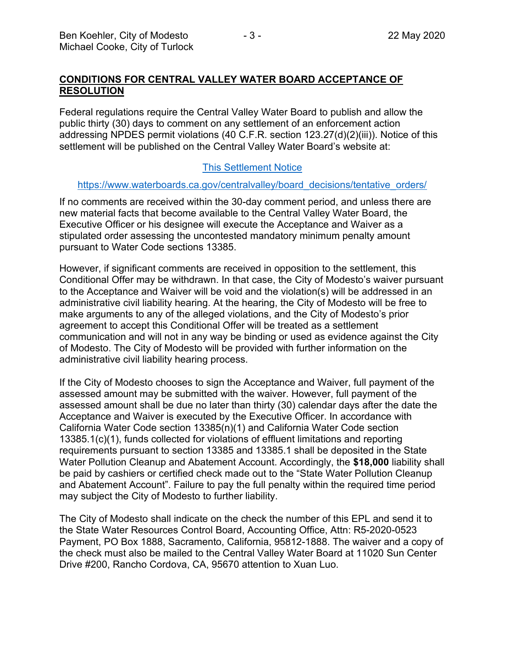#### **CONDITIONS FOR CENTRAL VALLEY WATER BOARD ACCEPTANCE OF RESOLUTION**

Federal regulations require the Central Valley Water Board to publish and allow the public thirty (30) days to comment on any settlement of an enforcement action addressing NPDES permit violations (40 C.F.R. section 123.27(d)(2)(iii)). Notice of this settlement will be published on the Central Valley Water Board's website at:

#### [This Settlement Notice](https://www.waterboards.ca.gov/centralvalley/board_decisions/tentative_orders/)

#### [https://www.waterboards.ca.gov/centralvalley/board\\_decisions/tentative\\_orders/](https://www.waterboards.ca.gov/centralvalley/board_decisions/tentative_orders/)

If no comments are received within the 30-day comment period, and unless there are new material facts that become available to the Central Valley Water Board, the Executive Officer or his designee will execute the Acceptance and Waiver as a stipulated order assessing the uncontested mandatory minimum penalty amount pursuant to Water Code sections 13385.

However, if significant comments are received in opposition to the settlement, this Conditional Offer may be withdrawn. In that case, the City of Modesto's waiver pursuant to the Acceptance and Waiver will be void and the violation(s) will be addressed in an administrative civil liability hearing. At the hearing, the City of Modesto will be free to make arguments to any of the alleged violations, and the City of Modesto's prior agreement to accept this Conditional Offer will be treated as a settlement communication and will not in any way be binding or used as evidence against the City of Modesto. The City of Modesto will be provided with further information on the administrative civil liability hearing process.

If the City of Modesto chooses to sign the Acceptance and Waiver, full payment of the assessed amount may be submitted with the waiver. However, full payment of the assessed amount shall be due no later than thirty (30) calendar days after the date the Acceptance and Waiver is executed by the Executive Officer. In accordance with California Water Code section 13385(n)(1) and California Water Code section 13385.1(c)(1), funds collected for violations of effluent limitations and reporting requirements pursuant to section 13385 and 13385.1 shall be deposited in the State Water Pollution Cleanup and Abatement Account. Accordingly, the **\$18,000** liability shall be paid by cashiers or certified check made out to the "State Water Pollution Cleanup and Abatement Account". Failure to pay the full penalty within the required time period may subject the City of Modesto to further liability.

The City of Modesto shall indicate on the check the number of this EPL and send it to the State Water Resources Control Board, Accounting Office, Attn: R5-2020-0523 Payment, PO Box 1888, Sacramento, California, 95812-1888. The waiver and a copy of the check must also be mailed to the Central Valley Water Board at 11020 Sun Center Drive #200, Rancho Cordova, CA, 95670 attention to Xuan Luo.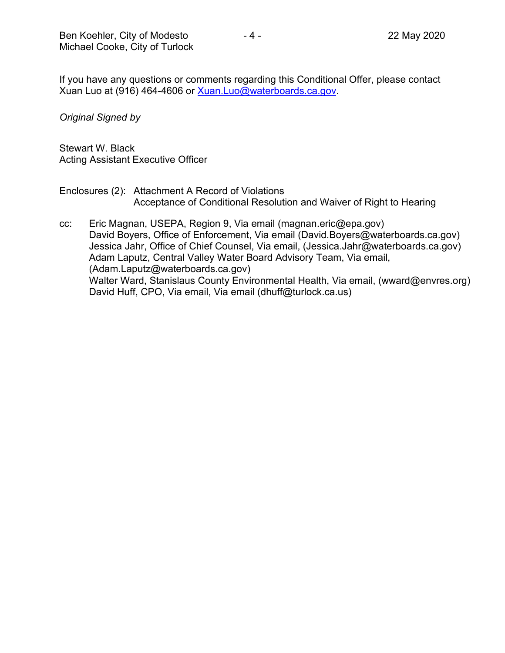If you have any questions or comments regarding this Conditional Offer, please contact Xuan Luo at (916) 464-4606 or [Xuan.Luo@waterboards.ca.gov.](mailto:Xuan.Luo@waterboards.ca.gov)

*Original Signed by*

Stewart W. Black Acting Assistant Executive Officer

- Enclosures (2): Attachment A Record of Violations Acceptance of Conditional Resolution and Waiver of Right to Hearing
- cc: Eric Magnan, USEPA, Region 9, Via email (magnan.eric@epa.gov) David Boyers, Office of Enforcement, Via email (David.Boyers@waterboards.ca.gov) Jessica Jahr, Office of Chief Counsel, Via email, (Jessica.Jahr@waterboards.ca.gov) Adam Laputz, Central Valley Water Board Advisory Team, Via email, (Adam.Laputz@waterboards.ca.gov) Walter Ward, Stanislaus County Environmental Health, Via email, (wward@envres.org) David Huff, CPO, Via email, Via email (dhuff@turlock.ca.us)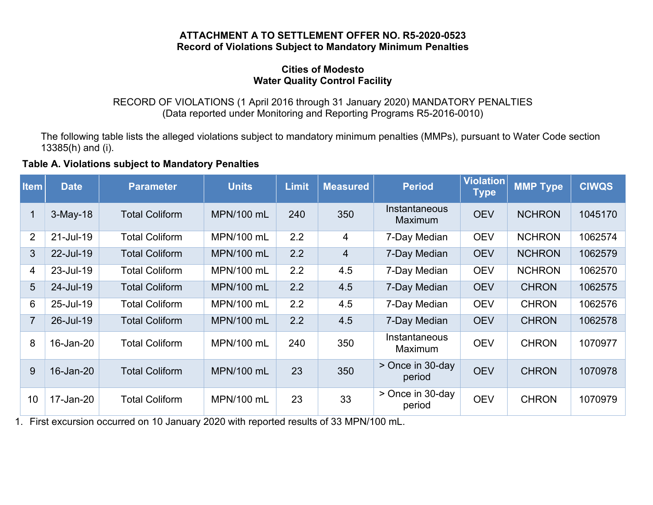#### **ATTACHMENT A TO SETTLEMENT OFFER NO. R5-2020-0523 Record of Violations Subject to Mandatory Minimum Penalties**

#### **Cities of Modesto Water Quality Control Facility**

#### RECORD OF VIOLATIONS (1 April 2016 through 31 January 2020) MANDATORY PENALTIES (Data reported under Monitoring and Reporting Programs R5-2016-0010)

The following table lists the alleged violations subject to mandatory minimum penalties (MMPs), pursuant to Water Code section 13385(h) and (i).

### **Table A. Violations subject to Mandatory Penalties**

| <b>Item</b>    | <b>Date</b> | <b>Parameter</b>      | <b>Units</b>      | <b>Limit</b> | <b>Measured</b> | <b>Period</b>                   | Violation<br><b>Type</b> | <b>MMP Type</b> | <b>CIWQS</b> |
|----------------|-------------|-----------------------|-------------------|--------------|-----------------|---------------------------------|--------------------------|-----------------|--------------|
| 1              | $3-May-18$  | <b>Total Coliform</b> | <b>MPN/100 mL</b> | 240          | 350             | Instantaneous<br><b>Maximum</b> | <b>OEV</b>               | <b>NCHRON</b>   | 1045170      |
| 2              | 21-Jul-19   | <b>Total Coliform</b> | MPN/100 mL        | 2.2          | 4               | 7-Day Median                    | <b>OEV</b>               | <b>NCHRON</b>   | 1062574      |
| 3              | 22-Jul-19   | <b>Total Coliform</b> | MPN/100 mL        | 2.2          | $\overline{4}$  | 7-Day Median                    | <b>OEV</b>               | <b>NCHRON</b>   | 1062579      |
| 4              | 23-Jul-19   | <b>Total Coliform</b> | MPN/100 mL        | 2.2          | 4.5             | 7-Day Median                    | <b>OEV</b>               | <b>NCHRON</b>   | 1062570      |
| 5              | 24-Jul-19   | <b>Total Coliform</b> | <b>MPN/100 mL</b> | 2.2          | 4.5             | 7-Day Median                    | <b>OEV</b>               | <b>CHRON</b>    | 1062575      |
| 6              | 25-Jul-19   | <b>Total Coliform</b> | MPN/100 mL        | 2.2          | 4.5             | 7-Day Median                    | <b>OEV</b>               | <b>CHRON</b>    | 1062576      |
| $\overline{7}$ | 26-Jul-19   | <b>Total Coliform</b> | <b>MPN/100 mL</b> | 2.2          | 4.5             | 7-Day Median                    | <b>OEV</b>               | <b>CHRON</b>    | 1062578      |
| 8              | 16-Jan-20   | <b>Total Coliform</b> | MPN/100 mL        | 240          | 350             | Instantaneous<br>Maximum        | <b>OEV</b>               | <b>CHRON</b>    | 1070977      |
| 9              | 16-Jan-20   | <b>Total Coliform</b> | MPN/100 mL        | 23           | 350             | > Once in 30-day<br>period      | <b>OEV</b>               | <b>CHRON</b>    | 1070978      |
| 10             | 17-Jan-20   | <b>Total Coliform</b> | MPN/100 mL        | 23           | 33              | > Once in 30-day<br>period      | <b>OEV</b>               | <b>CHRON</b>    | 1070979      |

1. First excursion occurred on 10 January 2020 with reported results of 33 MPN/100 mL.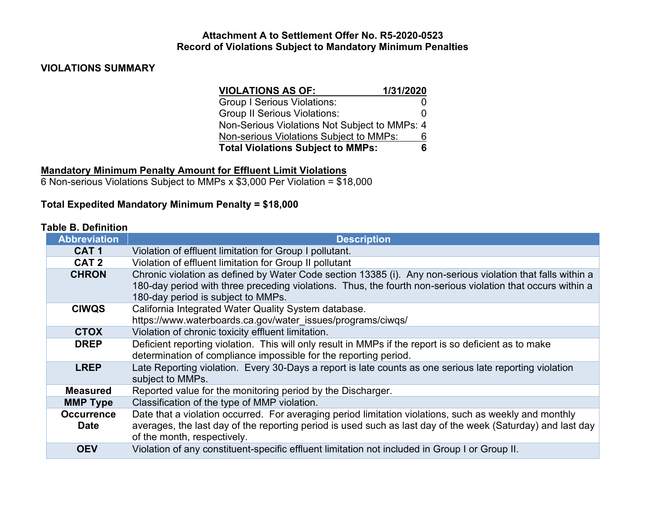#### **Attachment A to Settlement Offer No. R5-2020-0523 Record of Violations Subject to Mandatory Minimum Penalties**

## **VIOLATIONS SUMMARY**

| <b>VIOLATIONS AS OF:</b>                      | 1/31/2020 |  |
|-----------------------------------------------|-----------|--|
| <b>Group I Serious Violations:</b>            |           |  |
| <b>Group II Serious Violations:</b>           | O         |  |
| Non-Serious Violations Not Subject to MMPs: 4 |           |  |
| Non-serious Violations Subject to MMPs:       | 6         |  |
| <b>Total Violations Subject to MMPs:</b><br>6 |           |  |

## **Mandatory Minimum Penalty Amount for Effluent Limit Violations**

6 Non-serious Violations Subject to MMPs x \$3,000 Per Violation = \$18,000

## **Total Expedited Mandatory Minimum Penalty = \$18,000**

### **Table B. Definition**

| <b>Abbreviation</b>              | <b>Description</b>                                                                                                                                                                                                                                               |  |  |  |
|----------------------------------|------------------------------------------------------------------------------------------------------------------------------------------------------------------------------------------------------------------------------------------------------------------|--|--|--|
| CAT <sub>1</sub>                 | Violation of effluent limitation for Group I pollutant.                                                                                                                                                                                                          |  |  |  |
| CAT <sub>2</sub>                 | Violation of effluent limitation for Group II pollutant                                                                                                                                                                                                          |  |  |  |
| <b>CHRON</b>                     | Chronic violation as defined by Water Code section 13385 (i). Any non-serious violation that falls within a<br>180-day period with three preceding violations. Thus, the fourth non-serious violation that occurs within a<br>180-day period is subject to MMPs. |  |  |  |
| <b>CIWQS</b>                     | California Integrated Water Quality System database.<br>https://www.waterboards.ca.gov/water_issues/programs/ciwqs/                                                                                                                                              |  |  |  |
| <b>CTOX</b>                      | Violation of chronic toxicity effluent limitation.                                                                                                                                                                                                               |  |  |  |
| <b>DREP</b>                      | Deficient reporting violation. This will only result in MMPs if the report is so deficient as to make<br>determination of compliance impossible for the reporting period.                                                                                        |  |  |  |
| <b>LREP</b>                      | Late Reporting violation. Every 30-Days a report is late counts as one serious late reporting violation<br>subject to MMPs.                                                                                                                                      |  |  |  |
| <b>Measured</b>                  | Reported value for the monitoring period by the Discharger.                                                                                                                                                                                                      |  |  |  |
| <b>MMP Type</b>                  | Classification of the type of MMP violation.                                                                                                                                                                                                                     |  |  |  |
| <b>Occurrence</b><br><b>Date</b> | Date that a violation occurred. For averaging period limitation violations, such as weekly and monthly<br>averages, the last day of the reporting period is used such as last day of the week (Saturday) and last day<br>of the month, respectively.             |  |  |  |
| <b>OEV</b>                       | Violation of any constituent-specific effluent limitation not included in Group I or Group II.                                                                                                                                                                   |  |  |  |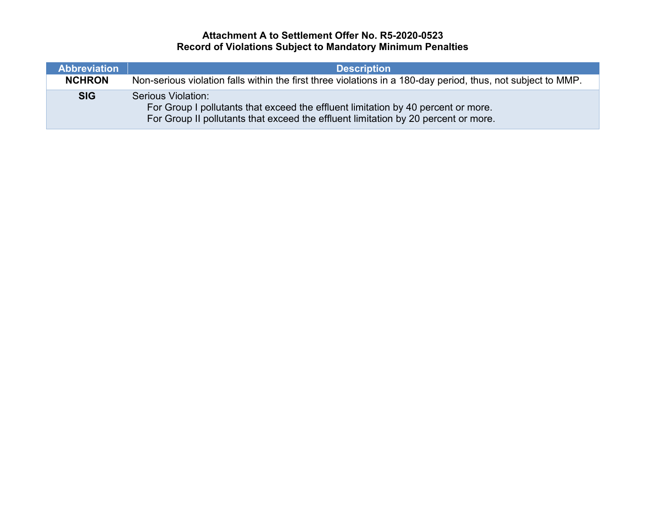## **Attachment A to Settlement Offer No. R5-2020-0523 Record of Violations Subject to Mandatory Minimum Penalties**

| Abbreviation  | <b>Description</b>                                                                                                                                                                            |  |
|---------------|-----------------------------------------------------------------------------------------------------------------------------------------------------------------------------------------------|--|
| <b>NCHRON</b> | Non-serious violation falls within the first three violations in a 180-day period, thus, not subject to MMP.                                                                                  |  |
| <b>SIG</b>    | Serious Violation:<br>For Group I pollutants that exceed the effluent limitation by 40 percent or more.<br>For Group II pollutants that exceed the effluent limitation by 20 percent or more. |  |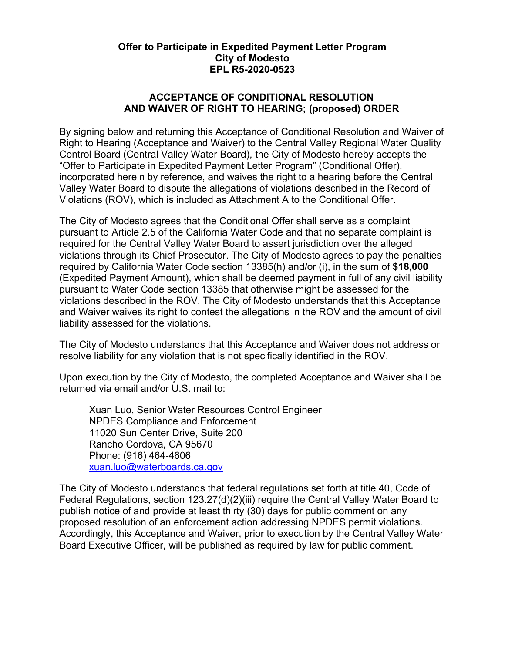### **Offer to Participate in Expedited Payment Letter Program City of Modesto EPL R5-2020-0523**

### **ACCEPTANCE OF CONDITIONAL RESOLUTION AND WAIVER OF RIGHT TO HEARING; (proposed) ORDER**

By signing below and returning this Acceptance of Conditional Resolution and Waiver of Right to Hearing (Acceptance and Waiver) to the Central Valley Regional Water Quality Control Board (Central Valley Water Board), the City of Modesto hereby accepts the "Offer to Participate in Expedited Payment Letter Program" (Conditional Offer), incorporated herein by reference, and waives the right to a hearing before the Central Valley Water Board to dispute the allegations of violations described in the Record of Violations (ROV), which is included as Attachment A to the Conditional Offer.

The City of Modesto agrees that the Conditional Offer shall serve as a complaint pursuant to Article 2.5 of the California Water Code and that no separate complaint is required for the Central Valley Water Board to assert jurisdiction over the alleged violations through its Chief Prosecutor. The City of Modesto agrees to pay the penalties required by California Water Code section 13385(h) and/or (i), in the sum of **\$18,000** (Expedited Payment Amount), which shall be deemed payment in full of any civil liability pursuant to Water Code section 13385 that otherwise might be assessed for the violations described in the ROV. The City of Modesto understands that this Acceptance and Waiver waives its right to contest the allegations in the ROV and the amount of civil liability assessed for the violations.

The City of Modesto understands that this Acceptance and Waiver does not address or resolve liability for any violation that is not specifically identified in the ROV.

Upon execution by the City of Modesto, the completed Acceptance and Waiver shall be returned via email and/or U.S. mail to:

Xuan Luo, Senior Water Resources Control Engineer NPDES Compliance and Enforcement 11020 Sun Center Drive, Suite 200 Rancho Cordova, CA 95670 Phone: (916) 464-4606 [xuan.luo@waterboards.ca.gov](mailto:xuan.luo@waterboards.ca.gov)

The City of Modesto understands that federal regulations set forth at title 40, Code of Federal Regulations, section 123.27(d)(2)(iii) require the Central Valley Water Board to publish notice of and provide at least thirty (30) days for public comment on any proposed resolution of an enforcement action addressing NPDES permit violations. Accordingly, this Acceptance and Waiver, prior to execution by the Central Valley Water Board Executive Officer, will be published as required by law for public comment.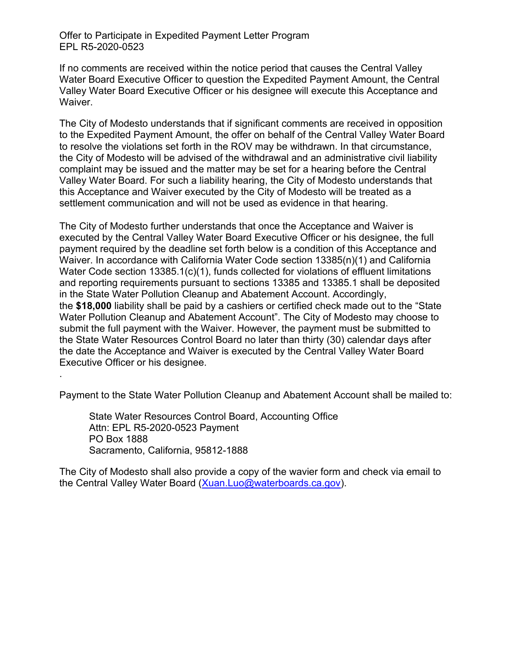Offer to Participate in Expedited Payment Letter Program EPL R5-2020-0523

If no comments are received within the notice period that causes the Central Valley Water Board Executive Officer to question the Expedited Payment Amount, the Central Valley Water Board Executive Officer or his designee will execute this Acceptance and Waiver.

The City of Modesto understands that if significant comments are received in opposition to the Expedited Payment Amount, the offer on behalf of the Central Valley Water Board to resolve the violations set forth in the ROV may be withdrawn. In that circumstance, the City of Modesto will be advised of the withdrawal and an administrative civil liability complaint may be issued and the matter may be set for a hearing before the Central Valley Water Board. For such a liability hearing, the City of Modesto understands that this Acceptance and Waiver executed by the City of Modesto will be treated as a settlement communication and will not be used as evidence in that hearing.

The City of Modesto further understands that once the Acceptance and Waiver is executed by the Central Valley Water Board Executive Officer or his designee, the full payment required by the deadline set forth below is a condition of this Acceptance and Waiver. In accordance with California Water Code section 13385(n)(1) and California Water Code section 13385.1(c)(1), funds collected for violations of effluent limitations and reporting requirements pursuant to sections 13385 and 13385.1 shall be deposited in the State Water Pollution Cleanup and Abatement Account. Accordingly, the **\$18,000** liability shall be paid by a cashiers or certified check made out to the "State Water Pollution Cleanup and Abatement Account". The City of Modesto may choose to submit the full payment with the Waiver. However, the payment must be submitted to the State Water Resources Control Board no later than thirty (30) calendar days after the date the Acceptance and Waiver is executed by the Central Valley Water Board Executive Officer or his designee.

Payment to the State Water Pollution Cleanup and Abatement Account shall be mailed to:

State Water Resources Control Board, Accounting Office Attn: EPL R5-2020-0523 Payment PO Box 1888 Sacramento, California, 95812-1888

.

The City of Modesto shall also provide a copy of the wavier form and check via email to the Central Valley Water Board ([Xuan.Luo@waterboards.ca.gov](mailto:Xuan.Luo@waterboards.ca.gov)).